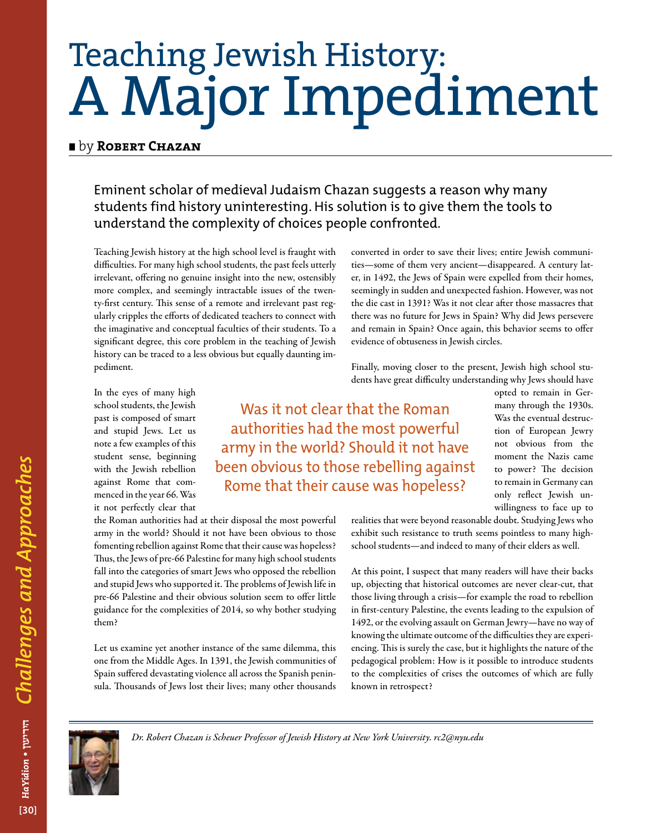## Teaching Jewish History: A Major Impediment

## **E** by **ROBERT CHAZAN**

Eminent scholar of medieval Judaism Chazan suggests a reason why many students find history uninteresting. His solution is to give them the tools to understand the complexity of choices people confronted.

Teaching Jewish history at the high school level is fraught with difficulties. For many high school students, the past feels utterly irrelevant, offering no genuine insight into the new, ostensibly more complex, and seemingly intractable issues of the twenty-first century. This sense of a remote and irrelevant past regularly cripples the efforts of dedicated teachers to connect with the imaginative and conceptual faculties of their students. To a significant degree, this core problem in the teaching of Jewish history can be traced to a less obvious but equally daunting impediment.

In the eyes of many high school students, the Jewish past is composed of smart and stupid Jews. Let us note a few examples of this student sense, beginning with the Jewish rebellion against Rome that commenced in the year 66. Was it not perfectly clear that

Was it not clear that the Roman authorities had the most powerful army in the world? Should it not have been obvious to those rebelling against Rome that their cause was hopeless?

the Roman authorities had at their disposal the most powerful army in the world? Should it not have been obvious to those fomenting rebellion against Rome that their cause was hopeless? Thus, the Jews of pre-66 Palestine for many high school students fall into the categories of smart Jews who opposed the rebellion and stupid Jews who supported it. The problems of Jewish life in pre-66 Palestine and their obvious solution seem to offer little guidance for the complexities of 2014, so why bother studying them?

Let us examine yet another instance of the same dilemma, this one from the Middle Ages. In 1391, the Jewish communities of Spain suffered devastating violence all across the Spanish peninsula. Thousands of Jews lost their lives; many other thousands

converted in order to save their lives; entire Jewish communities—some of them very ancient—disappeared. A century later, in 1492, the Jews of Spain were expelled from their homes, seemingly in sudden and unexpected fashion. However, was not the die cast in 1391? Was it not clear after those massacres that there was no future for Jews in Spain? Why did Jews persevere and remain in Spain? Once again, this behavior seems to offer evidence of obtuseness in Jewish circles.

Finally, moving closer to the present, Jewish high school students have great difficulty understanding why Jews should have

> opted to remain in Germany through the 1930s. Was the eventual destruction of European Jewry not obvious from the moment the Nazis came to power? The decision to remain in Germany can only reflect Jewish unwillingness to face up to

realities that were beyond reasonable doubt. Studying Jews who exhibit such resistance to truth seems pointless to many highschool students—and indeed to many of their elders as well.

At this point, I suspect that many readers will have their backs up, objecting that historical outcomes are never clear-cut, that those living through a crisis—for example the road to rebellion in first-century Palestine, the events leading to the expulsion of 1492, or the evolving assault on German Jewry—have no way of knowing the ultimate outcome of the difficulties they are experiencing. This is surely the case, but it highlights the nature of the pedagogical problem: How is it possible to introduce students to the complexities of crises the outcomes of which are fully known in retrospect?



*Dr. Robert Chazan is Scheuer Professor of Jewish History at New York University. rc2@nyu.edu*